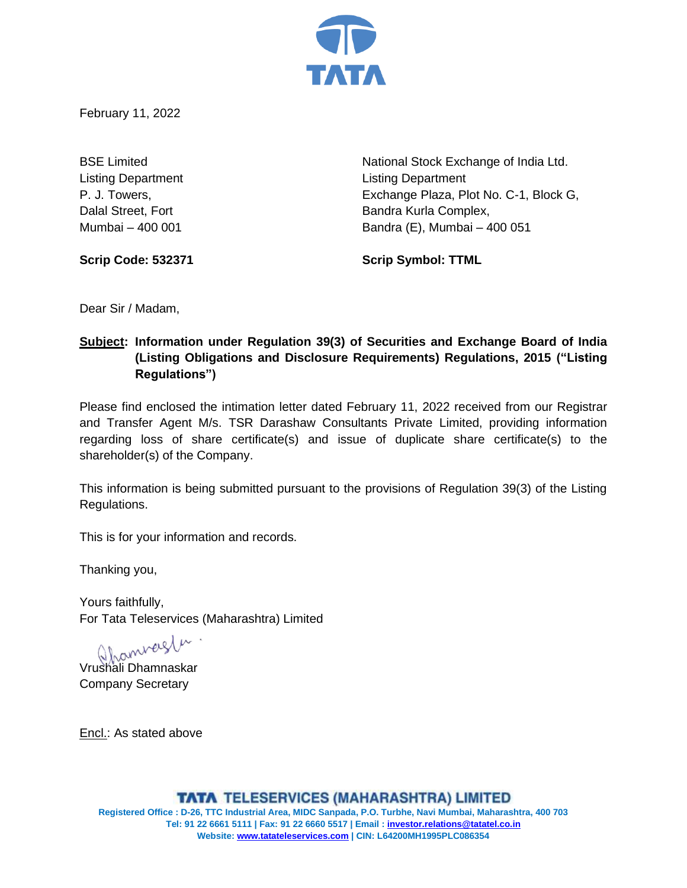

February 11, 2022

Listing Department Listing Department

BSE Limited **National Stock Exchange of India Ltd.** National Stock Exchange of India Ltd. P. J. Towers, Exchange Plaza, Plot No. C-1, Block G, Dalal Street, Fort **Bandra Kurla Complex**, Mumbai – 400 001 Bandra (E), Mumbai – 400 051

**Scrip Code: 532371 Scrip Symbol: TTML**

Dear Sir / Madam,

# **Subject: Information under Regulation 39(3) of Securities and Exchange Board of India (Listing Obligations and Disclosure Requirements) Regulations, 2015 ("Listing Regulations")**

Please find enclosed the intimation letter dated February 11, 2022 received from our Registrar and Transfer Agent M/s. TSR Darashaw Consultants Private Limited, providing information regarding loss of share certificate(s) and issue of duplicate share certificate(s) to the shareholder(s) of the Company.

This information is being submitted pursuant to the provisions of Regulation 39(3) of the Listing Regulations.

This is for your information and records.

Thanking you,

Yours faithfully, For Tata Teleservices (Maharashtra) Limited

Qhamverstur<br>Vrushali Dhamnaskar

Company Secretary

Encl.: As stated above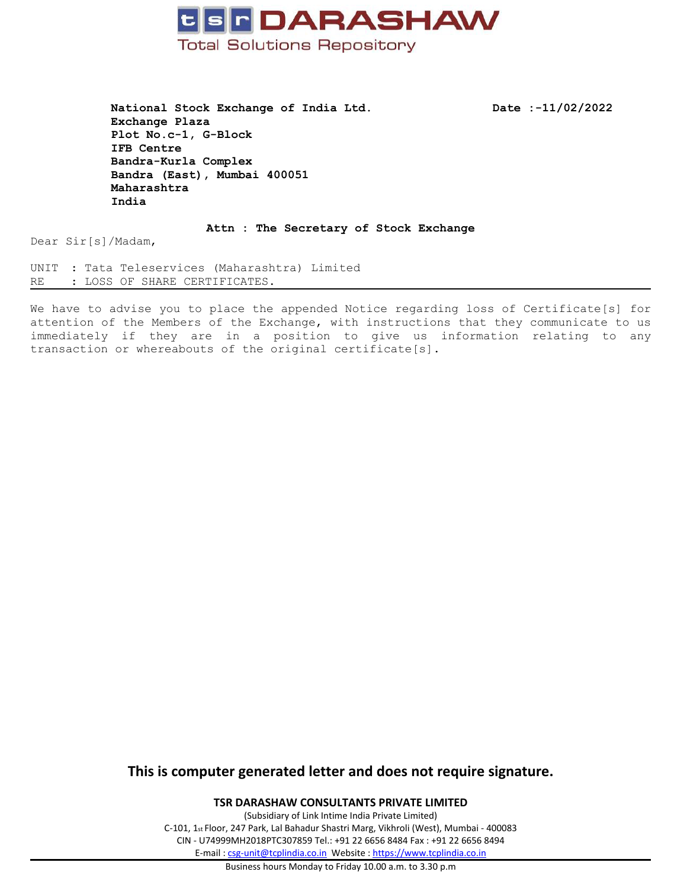

**National Stock Exchange of India Ltd. Date :-11/02/2022 Exchange Plaza Plot No.c-1, G-Block IFB Centre Bandra-Kurla Complex Bandra (East), Mumbai 400051 Maharashtra India**

**Attn : The Secretary of Stock Exchange**

Dear Sir[s]/Madam,

UNIT : Tata Teleservices (Maharashtra) Limited RE : LOSS OF SHARE CERTIFICATES.

We have to advise you to place the appended Notice regarding loss of Certificate[s] for attention of the Members of the Exchange, with instructions that they communicate to us immediately if they are in <sup>a</sup> position to give us information relating to any transaction or whereabouts of the original certificate[s].

## **This is computer generated letter and does not require signature.**

**TSR DARASHAW CONSULTANTS PRIVATE LIMITED**

(Subsidiary of Link Intime India Private Limited) C-101, 1st Floor, 247 Park, Lal Bahadur Shastri Marg, Vikhroli (West), Mumbai - 400083 CIN - U74999MH2018PTC307859 Tel.: +91 22 6656 8484 Fax : +91 22 6656 8494 E-mail : [csg-unit@tcplindia.co.in](mailto:csg-unit@tcplindia.co.in) Website : <https://www.tcplindia.co.in>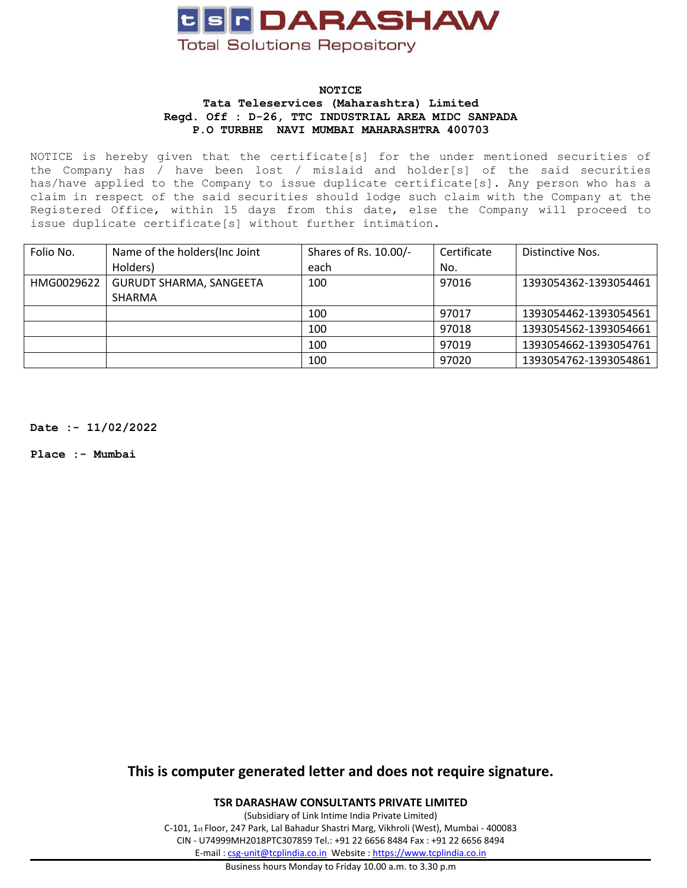

#### **NOTICE Tata Teleservices (Maharashtra) Limited Regd. Off : D-26, TTC INDUSTRIAL AREA MIDC SANPADA P.O TURBHE NAVI MUMBAI MAHARASHTRA 400703**

NOTICE is hereby given that the certificate[s] for the under mentioned securities of the Company has / have been lost / mislaid and holder[s] of the said securities has/have applied to the Company to issue duplicate certificate[s]. Any person who has <sup>a</sup> claim in respect of the said securities should lodge such claim with the Company at the Registered Office, within 15 days from this date, else the Company will proceed to issue duplicate certificate[s] without further intimation.

| Folio No.  | Name of the holders (Inc Joint | Shares of Rs. 10.00/- | Certificate | Distinctive Nos.      |
|------------|--------------------------------|-----------------------|-------------|-----------------------|
|            | Holders)                       | each                  | No.         |                       |
| HMG0029622 | <b>GURUDT SHARMA, SANGEETA</b> | 100                   | 97016       | 1393054362-1393054461 |
|            | SHARMA                         |                       |             |                       |
|            |                                | 100                   | 97017       | 1393054462-1393054561 |
|            |                                | 100                   | 97018       | 1393054562-1393054661 |
|            |                                | 100                   | 97019       | 1393054662-1393054761 |
|            |                                | 100                   | 97020       | 1393054762-1393054861 |

**Date :- 11/02/2022**

**Place :- Mumbai**

**This is computer generated letter and does not require signature.**

**TSR DARASHAW CONSULTANTS PRIVATE LIMITED**

(Subsidiary of Link Intime India Private Limited) C-101, 1st Floor, 247 Park, Lal Bahadur Shastri Marg, Vikhroli (West), Mumbai - 400083 CIN - U74999MH2018PTC307859 Tel.: +91 22 6656 8484 Fax : +91 22 6656 8494 E-mail : [csg-unit@tcplindia.co.in](mailto:csg-unit@tcplindia.co.in) Website : <https://www.tcplindia.co.in>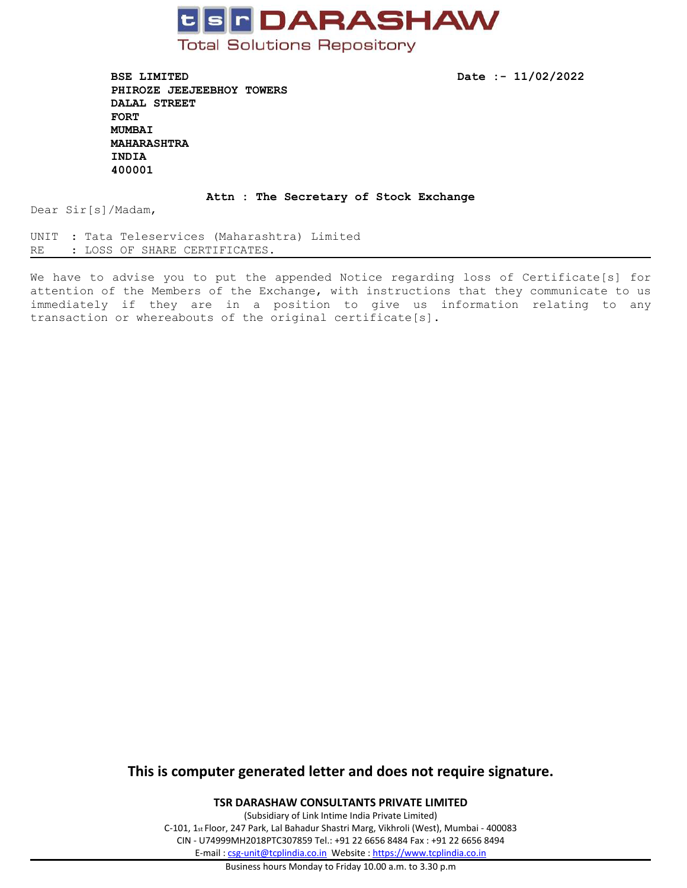

**BSE LIMITED Date :- 11/02/2022 PHIROZE JEEJEEBHOY TOWERS DALAL STREET FORT MUMBAI MAHARASHTRA INDIA 400001**

### **Attn : The Secretary of Stock Exchange**

Dear Sir[s]/Madam,

UNIT : Tata Teleservices (Maharashtra) Limited RE : LOSS OF SHARE CERTIFICATES.

We have to advise you to put the appended Notice regarding loss of Certificate[s] for attention of the Members of the Exchange, with instructions that they communicate to us immediately if they are in <sup>a</sup> position to give us information relating to any transaction or whereabouts of the original certificate[s].

## **This is computer generated letter and does not require signature.**

**TSR DARASHAW CONSULTANTS PRIVATE LIMITED**

(Subsidiary of Link Intime India Private Limited) C-101, 1st Floor, 247 Park, Lal Bahadur Shastri Marg, Vikhroli (West), Mumbai - 400083 CIN - U74999MH2018PTC307859 Tel.: +91 22 6656 8484 Fax : +91 22 6656 8494 E-mail : [csg-unit@tcplindia.co.in](mailto:csg-unit@tcplindia.co.in) Website : <https://www.tcplindia.co.in>